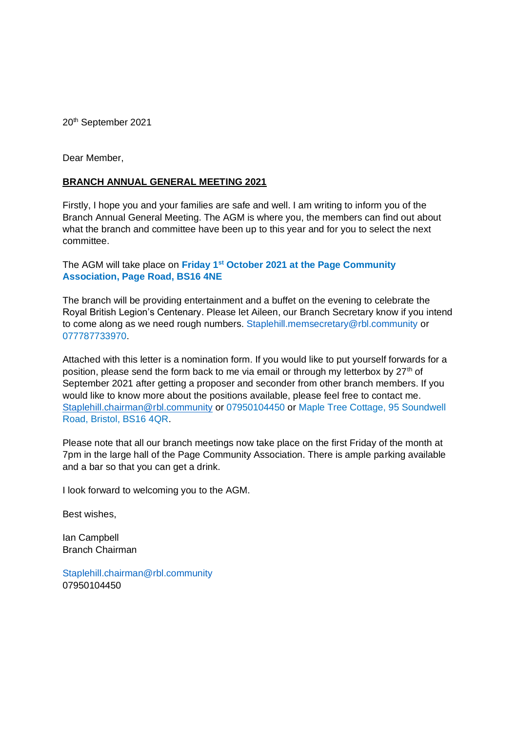20<sup>th</sup> September 2021

Dear Member,

## **BRANCH ANNUAL GENERAL MEETING 2021**

Firstly, I hope you and your families are safe and well. I am writing to inform you of the Branch Annual General Meeting. The AGM is where you, the members can find out about what the branch and committee have been up to this year and for you to select the next committee.

The AGM will take place on **Friday 1st October 2021 at the Page Community Association, Page Road, BS16 4NE**

The branch will be providing entertainment and a buffet on the evening to celebrate the Royal British Legion's Centenary. Please let Aileen, our Branch Secretary know if you intend to come along as we need rough numbers. [Staplehill.memsecretary@rbl.community](mailto:Staplehill.memsecretary@rbl.community) or 077787733970.

Attached with this letter is a nomination form. If you would like to put yourself forwards for a position, please send the form back to me via email or through my letterbox by  $27<sup>th</sup>$  of September 2021 after getting a proposer and seconder from other branch members. If you would like to know more about the positions available, please feel free to contact me. [Staplehill.chairman@rbl.community](mailto:Staplehill.chairman@rbl.community) or 07950104450 or Maple Tree Cottage, 95 Soundwell Road, Bristol, BS16 4QR.

Please note that all our branch meetings now take place on the first Friday of the month at 7pm in the large hall of the Page Community Association. There is ample parking available and a bar so that you can get a drink.

I look forward to welcoming you to the AGM.

Best wishes,

Ian Campbell Branch Chairman

[Staplehill.chairman@rbl.community](mailto:Staplehill.chairman@rbl.community) 07950104450